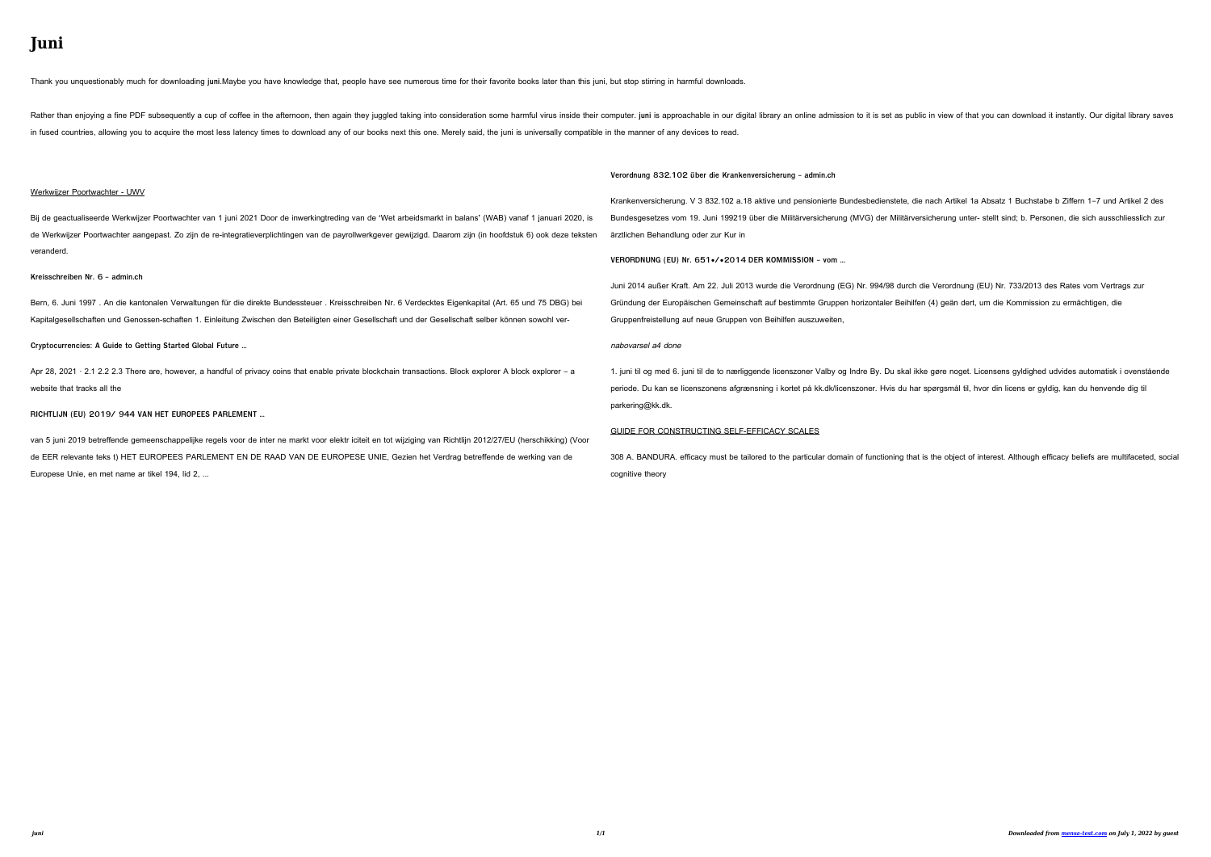# **Juni**

Getting the books **juni** now is not type of inspiring means. You could not unaccompanied going as soon as book heap or library or borrowing from your links to admittance them. This is an extremely easy means to specifically get lead by on-line. This online notice juni can be one of the options to accompany you past having additional time.

It will not waste your time. undertake me, the e-book will no question tune you other business to read. Just invest little time to admission this on-line declaration **juni** as capably as evaluation them wherever you are now.

*Tabel 1: Den kommunale pris- og lønudvikling, 2020 2025 …*

Tabel 1: Den kommunale pris- og lønudvikling, 2020 – 2025 (service-PL) Vægt ifølge regnskab 2020, drift (pct.) 2019/2020 2020/2021 2021/2022 2022/2023 2023/2024 2024/2025

Consumer trends accelerated by the COVID-19 pandemic are …

3 | PwC's June 2021 Global Consumer Insights Pulse Survey Consumers' shift to digital has accelerated dramatically. They are buying more groceries online, Gen …

## **Holzpreise aktuell & regional - LAND & FORST**

Stichtag: 15. Juni 2021 Diese Holzpreisübersicht basiert auf den Preismeldungen der LWK-Forstämter aus allen Teilen Niedersachsens. Neben den Preisspannen erhalten Sie Informationen über die aktuellen Trends bei den

wichtigsten Marktsegmenten. Sortiment Güte-klasse Verwen-dung Länge Stärke- klasse Erlöse in €/Fm bzw.  $E/Rm -$ kein ...

## **Werkwijzer Poortwachter - UWV**

Bij de geactualiseerde Werkwijzer Poortwachter van 1 juni 2021 Door de inwerkingtreding van de 'Wet arbeidsmarkt in balans' (WAB) vanaf 1 januari 2020, is de Werkwijzer Poortwachter aangepast. Zo zijn de reintegratieverplichtingen van de payrollwerkgever gewijzigd. Daarom zijn (in hoofdstuk 6) ook deze teksten veranderd.

*Kreisschreiben Nr. 6 - admin.ch*

Bern, 6. Juni 1997 . An die kantonalen Verwaltungen für die direkte Bundessteuer . Kreisschreiben Nr. 6 Verdecktes Eigenkapital (Art. 65 und 75 DBG) bei Kapitalgesellschaften und Genossen-schaften 1. Einleitung Zwischen den Beteiligten einer Gesellschaft und der Gesellschaft selber können sowohl ver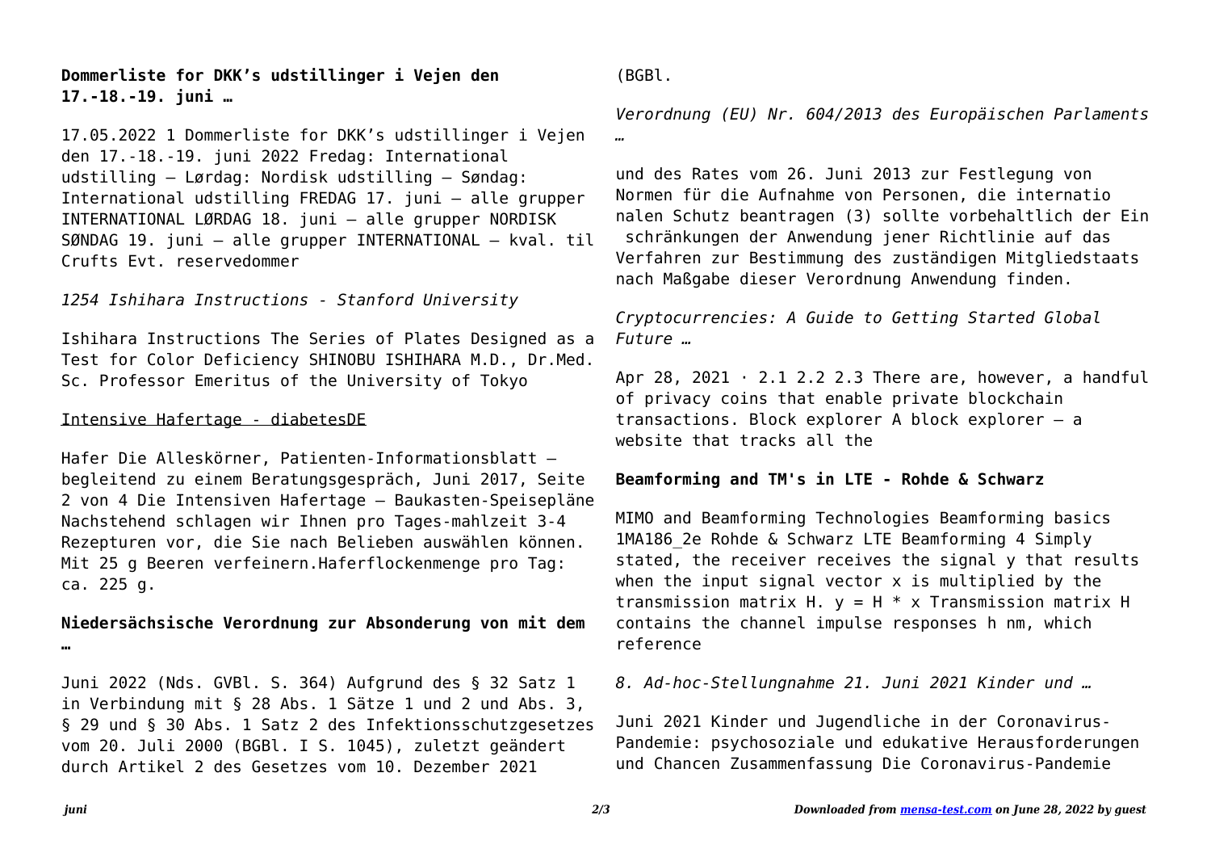**Dommerliste for DKK's udstillinger i Vejen den 17.-18.-19. juni …**

17.05.2022 1 Dommerliste for DKK's udstillinger i Vejen den 17.-18.-19. juni 2022 Fredag: International udstilling – Lørdag: Nordisk udstilling – Søndag: International udstilling FREDAG 17. juni – alle grupper INTERNATIONAL LØRDAG 18. juni – alle grupper NORDISK SØNDAG 19. juni – alle grupper INTERNATIONAL – kval. til Crufts Evt. reservedommer

*1254 Ishihara Instructions - Stanford University*

Ishihara Instructions The Series of Plates Designed as a Test for Color Deficiency SHINOBU ISHIHARA M.D., Dr.Med. Sc. Professor Emeritus of the University of Tokyo

### Intensive Hafertage - diabetesDE

Hafer Die Alleskörner, Patienten-Informationsblatt – begleitend zu einem Beratungsgespräch, Juni 2017, Seite 2 von 4 Die Intensiven Hafertage – Baukasten-Speisepläne Nachstehend schlagen wir Ihnen pro Tages-mahlzeit 3-4 Rezepturen vor, die Sie nach Belieben auswählen können. Mit 25 g Beeren verfeinern.Haferflockenmenge pro Tag: ca. 225 g.

## **Niedersächsische Verordnung zur Absonderung von mit dem …**

Juni 2022 (Nds. GVBl. S. 364) Aufgrund des § 32 Satz 1 in Verbindung mit § 28 Abs. 1 Sätze 1 und 2 und Abs. 3, § 29 und § 30 Abs. 1 Satz 2 des Infektionsschutzgesetzes vom 20. Juli 2000 (BGBl. I S. 1045), zuletzt geändert durch Artikel 2 des Gesetzes vom 10. Dezember 2021

## (BGBl.

*Verordnung (EU) Nr. 604/2013 des Europäischen Parlaments …*

und des Rates vom 26. Juni 2013 zur Festlegung von Normen für die Aufnahme von Personen, die internatio nalen Schutz beantragen (3) sollte vorbehaltlich der Ein schränkungen der Anwendung jener Richtlinie auf das Verfahren zur Bestimmung des zuständigen Mitgliedstaats nach Maßgabe dieser Verordnung Anwendung finden.

*Cryptocurrencies: A Guide to Getting Started Global Future …*

Apr 28, 2021  $\cdot$  2.1 2.2 2.3 There are, however, a handful of privacy coins that enable private blockchain transactions. Block explorer A block explorer – a website that tracks all the

## **Beamforming and TM's in LTE - Rohde & Schwarz**

MIMO and Beamforming Technologies Beamforming basics 1MA186\_2e Rohde & Schwarz LTE Beamforming 4 Simply stated, the receiver receives the signal y that results when the input signal vector x is multiplied by the transmission matrix H.  $y = H * x$  Transmission matrix H contains the channel impulse responses h nm, which reference

*8. Ad-hoc-Stellungnahme 21. Juni 2021 Kinder und …*

Juni 2021 Kinder und Jugendliche in der Coronavirus-Pandemie: psychosoziale und edukative Herausforderungen und Chancen Zusammenfassung Die Coronavirus-Pandemie